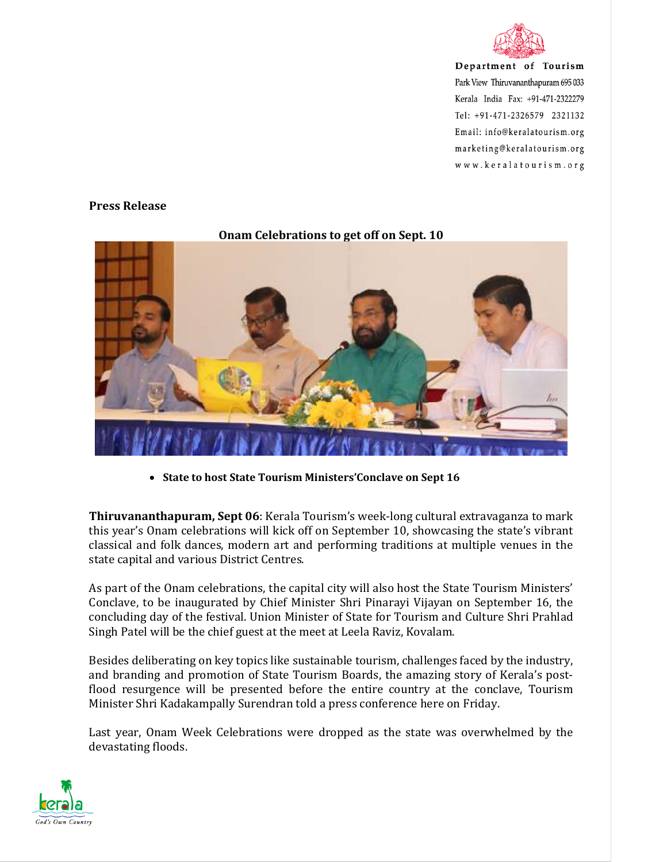

## **Press Release**



## **Onam Celebrations to get off on Sept. 10**

• **State to host State Tourism Ministers'Conclave on Sept 16** 

**Thiruvananthapuram, Sept 06**: Kerala Tourism's week-long cultural extravaganza to mark this year's Onam celebrations will kick off on September 10, showcasing the state's vibrant classical and folk dances, modern art and performing traditions at multiple venues in the state capital and various District Centres.

As part of the Onam celebrations, the capital city will also host the State Tourism Ministers' Conclave, to be inaugurated by Chief Minister Shri Pinarayi Vijayan on September 16, the concluding day of the festival. Union Minister of State for Tourism and Culture Shri Prahlad Singh Patel will be the chief guest at the meet at Leela Raviz, Kovalam.

Besides deliberating on key topics like sustainable tourism, challenges faced by the industry, and branding and promotion of State Tourism Boards, the amazing story of Kerala's postflood resurgence will be presented before the entire country at the conclave, Tourism Minister Shri Kadakampally Surendran told a press conference here on Friday.

Last year, Onam Week Celebrations were dropped as the state was overwhelmed by the devastating floods.

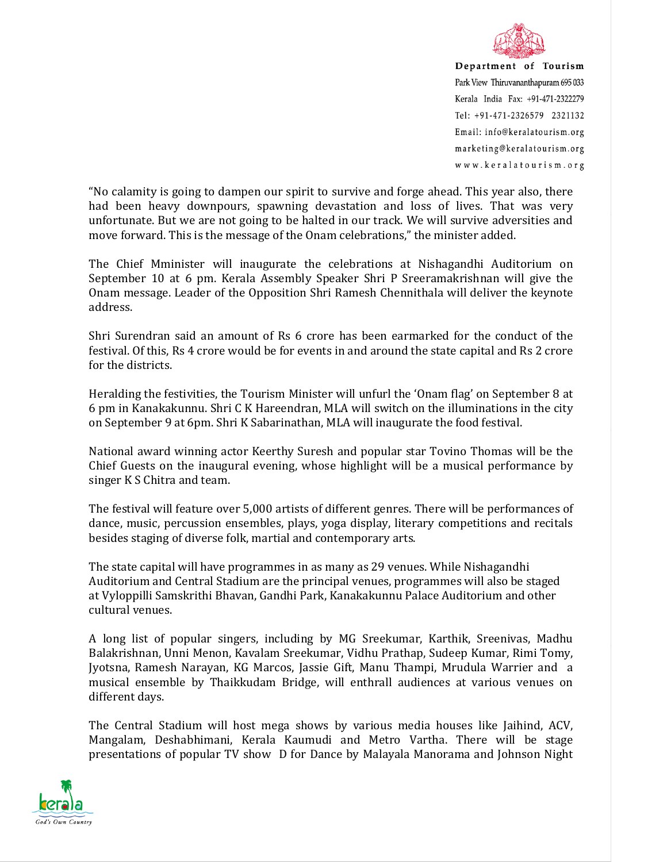

"No calamity is going to dampen our spirit to survive and forge ahead. This year also, there had been heavy downpours, spawning devastation and loss of lives. That was very unfortunate. But we are not going to be halted in our track. We will survive adversities and move forward. This is the message of the Onam celebrations," the minister added.

The Chief Mminister will inaugurate the celebrations at Nishagandhi Auditorium on September 10 at 6 pm. Kerala Assembly Speaker Shri P Sreeramakrishnan will give the Onam message. Leader of the Opposition Shri Ramesh Chennithala will deliver the keynote address.

Shri Surendran said an amount of Rs 6 crore has been earmarked for the conduct of the festival. Of this, Rs 4 crore would be for events in and around the state capital and Rs 2 crore for the districts.

Heralding the festivities, the Tourism Minister will unfurl the 'Onam flag' on September 8 at 6 pm in Kanakakunnu. Shri C K Hareendran, MLA will switch on the illuminations in the city on September 9 at 6pm. Shri K Sabarinathan, MLA will inaugurate the food festival.

National award winning actor Keerthy Suresh and popular star Tovino Thomas will be the Chief Guests on the inaugural evening, whose highlight will be a musical performance by singer K S Chitra and team.

The festival will feature over 5,000 artists of different genres. There will be performances of dance, music, percussion ensembles, plays, yoga display, literary competitions and recitals besides staging of diverse folk, martial and contemporary arts.

The state capital will have programmes in as many as 29 venues. While Nishagandhi Auditorium and Central Stadium are the principal venues, programmes will also be staged at Vyloppilli Samskrithi Bhavan, Gandhi Park, Kanakakunnu Palace Auditorium and other cultural venues.

A long list of popular singers, including by MG Sreekumar, Karthik, Sreenivas, Madhu Balakrishnan, Unni Menon, Kavalam Sreekumar, Vidhu Prathap, Sudeep Kumar, Rimi Tomy, Jyotsna, Ramesh Narayan, KG Marcos, Jassie Gift, Manu Thampi, Mrudula Warrier and a musical ensemble by Thaikkudam Bridge, will enthrall audiences at various venues on different days.

The Central Stadium will host mega shows by various media houses like Jaihind, ACV, Mangalam, Deshabhimani, Kerala Kaumudi and Metro Vartha. There will be stage presentations of popular TV show D for Dance by Malayala Manorama and Johnson Night

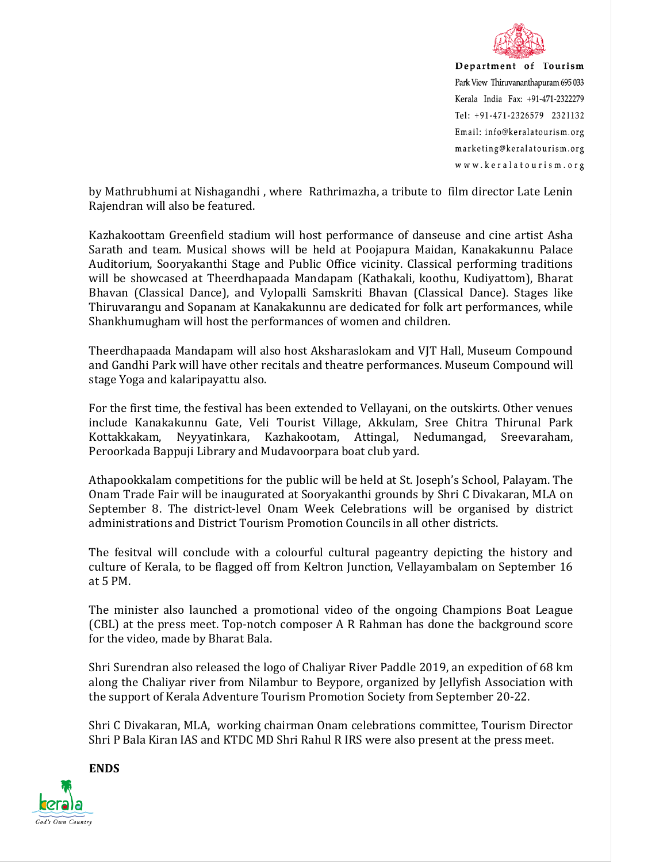

by Mathrubhumi at Nishagandhi , where Rathrimazha, a tribute to film director Late Lenin Rajendran will also be featured.

Kazhakoottam Greenfield stadium will host performance of danseuse and cine artist Asha Sarath and team. Musical shows will be held at Poojapura Maidan, Kanakakunnu Palace Auditorium, Sooryakanthi Stage and Public Office vicinity. Classical performing traditions will be showcased at Theerdhapaada Mandapam (Kathakali, koothu, Kudiyattom), Bharat Bhavan (Classical Dance), and Vylopalli Samskriti Bhavan (Classical Dance). Stages like Thiruvarangu and Sopanam at Kanakakunnu are dedicated for folk art performances, while Shankhumugham will host the performances of women and children.

Theerdhapaada Mandapam will also host Aksharaslokam and VJT Hall, Museum Compound and Gandhi Park will have other recitals and theatre performances. Museum Compound will stage Yoga and kalaripayattu also.

For the first time, the festival has been extended to Vellayani, on the outskirts. Other venues include Kanakakunnu Gate, Veli Tourist Village, Akkulam, Sree Chitra Thirunal Park Kottakkakam, Neyyatinkara, Kazhakootam, Attingal, Nedumangad, Sreevaraham, Peroorkada Bappuji Library and Mudavoorpara boat club yard.

Athapookkalam competitions for the public will be held at St. Joseph's School, Palayam. The Onam Trade Fair will be inaugurated at Sooryakanthi grounds by Shri C Divakaran, MLA on September 8. The district-level Onam Week Celebrations will be organised by district administrations and District Tourism Promotion Councils in all other districts.

The fesitval will conclude with a colourful cultural pageantry depicting the history and culture of Kerala, to be flagged off from Keltron Junction, Vellayambalam on September 16 at 5 PM.

The minister also launched a promotional video of the ongoing Champions Boat League (CBL) at the press meet. Top-notch composer A R Rahman has done the background score for the video, made by Bharat Bala.

Shri Surendran also released the logo of Chaliyar River Paddle 2019, an expedition of 68 km along the Chaliyar river from Nilambur to Beypore, organized by Jellyfish Association with the support of Kerala Adventure Tourism Promotion Society from September 20-22.

Shri C Divakaran, MLA, working chairman Onam celebrations committee, Tourism Director Shri P Bala Kiran IAS and KTDC MD Shri Rahul R IRS were also present at the press meet.